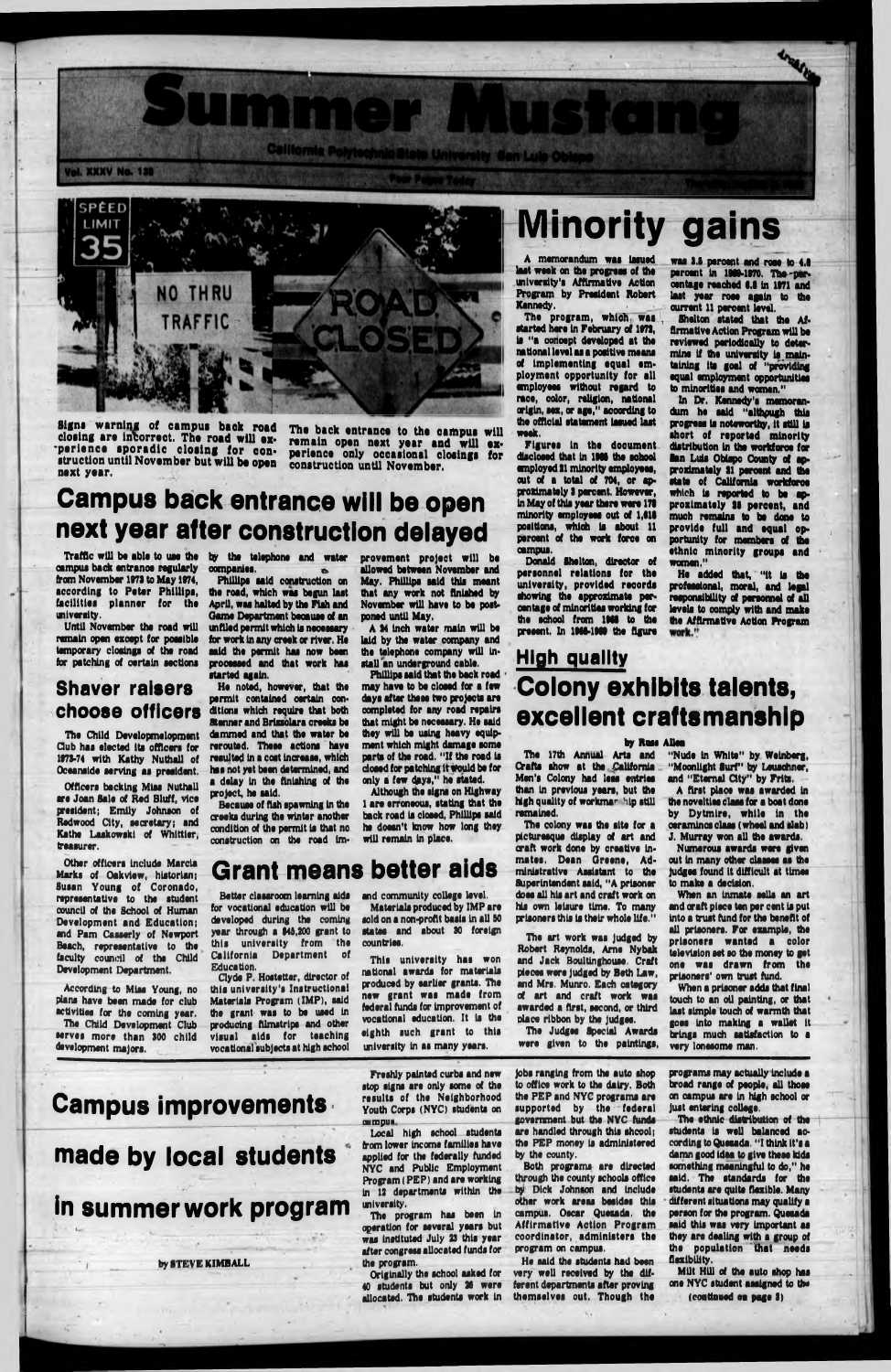

Signs warning of campus back road closing are incorrect. The road will ex-'perience sporadic closing for construction until November but will be open next year.

# **Campus back entrance will be open next year after construction delayed**

campus back entrance regularly from November 1973 to May 1974, according to Peter Phillips, facilities planner for the university.

ol. XXXV No. 138

Until November the road will remain open except for pooalble temporary closings of the road for patching of certain sections

### **Shaver raisers choose officers**

The Child Developmelopment Club has elected Its officers for 1973-74 with Kathy Nuthall of Oceanside serving as president.

Officers backing Miss Nuthall are Joan Sale of Red Bluff, vice president; Emily Johnson of Redwood City, secretary; and Kathe Laskowski of Whittier, treasurer.

Other officers Include Marcia Marks of Oakvtew, historian; Susan Young of Coronado, representative to the student council of the School of Human Development and Education; and Pam Casserly of Newport Beach, representative to the faculty council of the Child Development Department.

Traffic will be able to use the by the telephone and water companies.

provement project will be allowed between November and May. Phillips said this meant that any work not finished by November will have to be post-

According to Miss Young, no plans have been made for club activities for the coming year.

The Child Development Club serves more than 300 child development majors.

Phillips said construction on the road, which was begun last April, was halted by the Fish and Came Department beoauae of an tnftled permit which Is necessary for work In any creek or river. He said the permit has now been processed and that work has started again.

> Materials produced by IMP are sold on a non-profit basis in all 50

will remain in place.

He noted, however, that the permit contained certain conditions which require that both Stenner and Brlssolara creeks be dammed and that the water be rerouted. These actions have resulted In a coot Increase, which has not yet been determined, and a delay In the finishing of the project, he said.

Because of fish spawning In the creeks during the winter another condition of the permit Is that no construction on the road Imponed until May.

A 34 Inch water main will be laid by the water company and the telephone company will Install an underground cable. Phillips said that the back road may have to be closed for a few days after these two projects are completed for any road repairs that might be necessary. Ho said they will be using heavy equipment which might damage some parts of the road. "If the road Is closed for patching it would be for only a few days," he stated. Although the signs on Highway 1 are erroneous, stating that the back road Is closed, Phillips said he doesn't know how long they

**Grant means better aids**

Better classroom learning aids and community college level. for vocational education will be developed during the coming

year through a \$43,200 grant to this university from the California Department of Education.

Clyde P. Hostetter, director of this university's Instructional Materials Program (IMP), said the grant was to be used In producing filmstrips and other visual aids for teaching vocational subjects at high school states and about 30 foreign countries.

This university has won national awards for materials produced by earlier grants. The new grant was made from federal funds for Improvement of vocational education. It Is the eighth such grant to this university In as many years.

# **Minority gains**

Freshly painted curbs and new stop signs are only some of the results of the Neighborhood Youth Corps (NYC) students on campus.

The back entrance to the campus will remain open next year and will experience only occasional closings for construction until November,

Winnie r. A. Mar

California Polytechnic State University Gan Luis Ob

A memorandum was issued last week on the progress of the university's Affirmative Action Program by President Robert Kennedy.

The program, which was started here In February of 1973, Is "a concept developed at the national level as a positive means of implementing equal employment opportunity for all wnployees without regard to race, color, religion, national origin, sex, or age," according to the official statement Issued last week,

Figures In the document discloaed that In 196\$ the school employed 31 minority employeea, out of a total of 704, or approxlmately 3 percent. However, In May of this year there were 171 minority employees out of 1,611 positions, whloh Is about 11 percent of the work force on campus.

Donald Shelton, director of personnel relations for the university, provided records showing the approximate peroentage of minorities working for the school from 1966 to the present. In 1966-1966 the figure

was 3.6 percent and rose to 4.6 percent In 1969-1970. The-percentage reached 6.6 In 1971 and last year rose again to the current 11 percent level.

Shelton stated that the Affirmative Action Program will be reviewed periodically to determine if the university la.maintaining Its goal of "providing equal employment opportunities to minorities and women."

In Dr. Kennedy's memorandum he said "althpugh this progress Is noteworthy, it still la short of reported minority distribution In the workforce for San Lula Obispo County of approximately 31 peroent and the state of California workforce which la reported to be approximately 36 peroent, and much remains to be done to provide full and equal opportunity for members of the ethnic minority groups and women."

He added that, "It Is the professional, moral, and legal responsibility of personnel of all levels to comply with and make the Affirmative Action Program

## **High quality Colony exhibits talents, excellent craftsmanship**

#### by Russ Allen

The 17th Annual Arts and Cfrafts show at the California Men's Colony had less entries than In previous years, but the high quality of workman hip still remained.

The colony was the site for a picturesque display of art and craft work done by creative Inmates. Dean Oreene, Administrative Assistant to the Superintendent said, "A prisoner does all his art and craft work on his own leisure time. To many prisoners this is their whole life."

The art work was Judged by Robert Reynolds, Arne Nybak and Jack Boultinghouse. Craft pieces were Judged by Beth Law, and Mrs. Munro. Each category of art and craft work was awarded a first, second, or third place ribbon by the judges. The Judges Special Awards

were given to the paintings,

"Nude In White" by Weinberg, "Moonlight Surf" by Leuschner, and "Eternal City" by Frits.

A first plaoe was awarded In the novelties class for a boat done by Dytmlre, while In the oeramines class (wheel and slab) J. Murray won all the awards.

Numerous awards were given out In many other classes as the Judges found It difficult at times to make a decision.

Whan an Inmate sells an art and craft piece ten per cent Is put Into a trust fund for the benefit of

all prisoners. For example, the prisoners wanted a color television set so the money to got one was drawn from the prisoners' own trust fund.

When a prisoner adds that final touch to an oil painting, or that last simple touch of warmth that goes Into making a wallet It brings much satisfaction to a very lonesome man.

### **Campus improvements •**

## **made by local students**

**in summer work program**

by STEVE KIMBALL

Local high school students from lower Income families have applied for the federally funded NYC and Public Employment Program (PEP) and are working In 12 departments within the university.

The program has been In operation for several years but was Instituted July 23 this year after congress allocated funds for the program.

Originally the school asked for 40 students but only 26 were allocated. The students work In

Jobs ranging from the auto shop to office work to the dairy. Both the PEP and NYC programs are supported by the federal govarament but the NYC funds are handled through this shcool; the PEP money Is administered by the county.

Both programs are directed through the county schools office by Dick Johnson and Include other work areas besides this campus, Oscar Quetada, the Affirmative Action Program coordinator, administers the program on campus.

He said the students had been very well received by the different departments after proving themselves out. Though the programs may actually Include a broad range of people, all those on campus are In high school or Just entering college.

The ethnic distribution of the students Is well balanced according to Quosada. "I think It's a damn good idea to give these kids something meaningful to do," he said. The standards for the students are quite flexible. Many different situations may qualify a person for the program. Quesada said this was very Important as they are dealing with a group of the population that needs flexibility.

MUt HUl of the auto shop has one NYC student assigned to the (continued on page 3)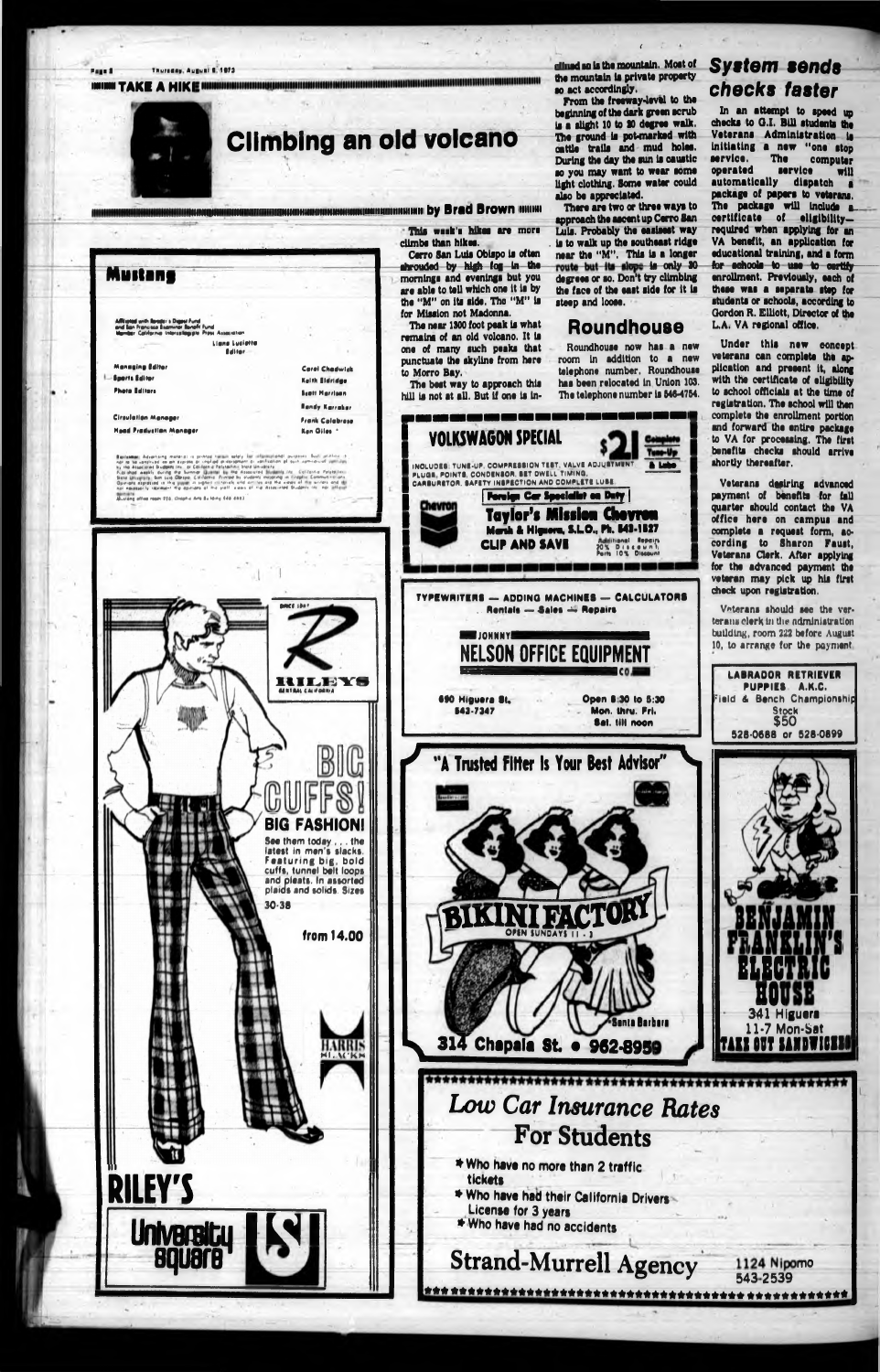



clined so is the mountain. Most of the mountain is private property so act accordingly.

From the freeway-level to the beginning of the dark green acrub is a slight 10 to 30 degree walk. The ground is pot-marked with cattle trails and mud holes. During the day the sun is caustic so you may want to wear some light clothing. Some water could also be appreciated.

There are two or three ways to approach the ascent up Cerro San Luis. Probably the easisest way is to walk up the southeast ridge near the "M". This is a longer route but its slope is only 30 degrees or so. Don't try climbing the face of the east side for it is steep and loose.

### **Roundhouse**

Roundhouse now has a new room in addition to a new telephone number. Roundhouse has been relocated in Union 103. The telephone number is 546-4754.

INCLUDES: TUNE-UP, COMPRESSION TEST, VALVE ADJUSTMENT. PLUGE, POINTS, CONDENSOR, BET DWELL TIMING, CARBURETOR, SAFETY INSPECTION AND COMPLETE LUBE Foreign Car Specialist on Duty **Taylor's Mission Cheyron** Marsh & Hignora, S.L.O., Ph. 543-1527 **CLIP AND SAVE DIA** ا دی سر بی سرد **TYPEWRITERS - ADDING MACHINES - CALCULATORS** Rentals - Sales - Repairs **STEP JOHNNY FROM NELSON OFFICE EQUIPMENT** 690 Higuera St. Open 8:30 to 5:30 543-7347 Mon. thru. Fri. Sat. Illi noon



食食 交货支资金支资金支资支资金支资支资金支资支资金支资支资金支资金支资金支金支资 支资金支资支资金支资

### **System sends** checks faster

In an attempt to speed un checks to G.I. Bill students the Veterans Administration is initiating a new "one stop The computer service. operated service  $w11$ automatically dispatch a package of papers to veterans. The package will include a certificate of eligibilityrequired when applying for an VA benefit, an application for educational training, and a form for schools to use to certify enrollment. Previously, each of these was a separate step for students or schools, according to Gordon R. Elliott, Director of the L.A. VA regional office.

Under this new concept veterans can complete the application and present it, along with the certificate of eligibility to school officials at the time of registration. The school will then complete the enrollment portion and forward the entire package to VA for processing. The first benefits checks should arrive shortly thereafter.

Veterans desiring advanced<br>payment of benefits for fall quarter should contact the VA office here on campus and complete a request form. according to Sharon Faust. Veterans Clerk. After applying for the advanced payment the veteran may pick up his first check upon registration.

Veterans should see the verterans clerk in the administration building, room 222 before August 10, to arrange for the payment

> **LABRADOR RETRIEVER** PUPPIES A.K.C.

ield & Bench Championship

**Stock** 

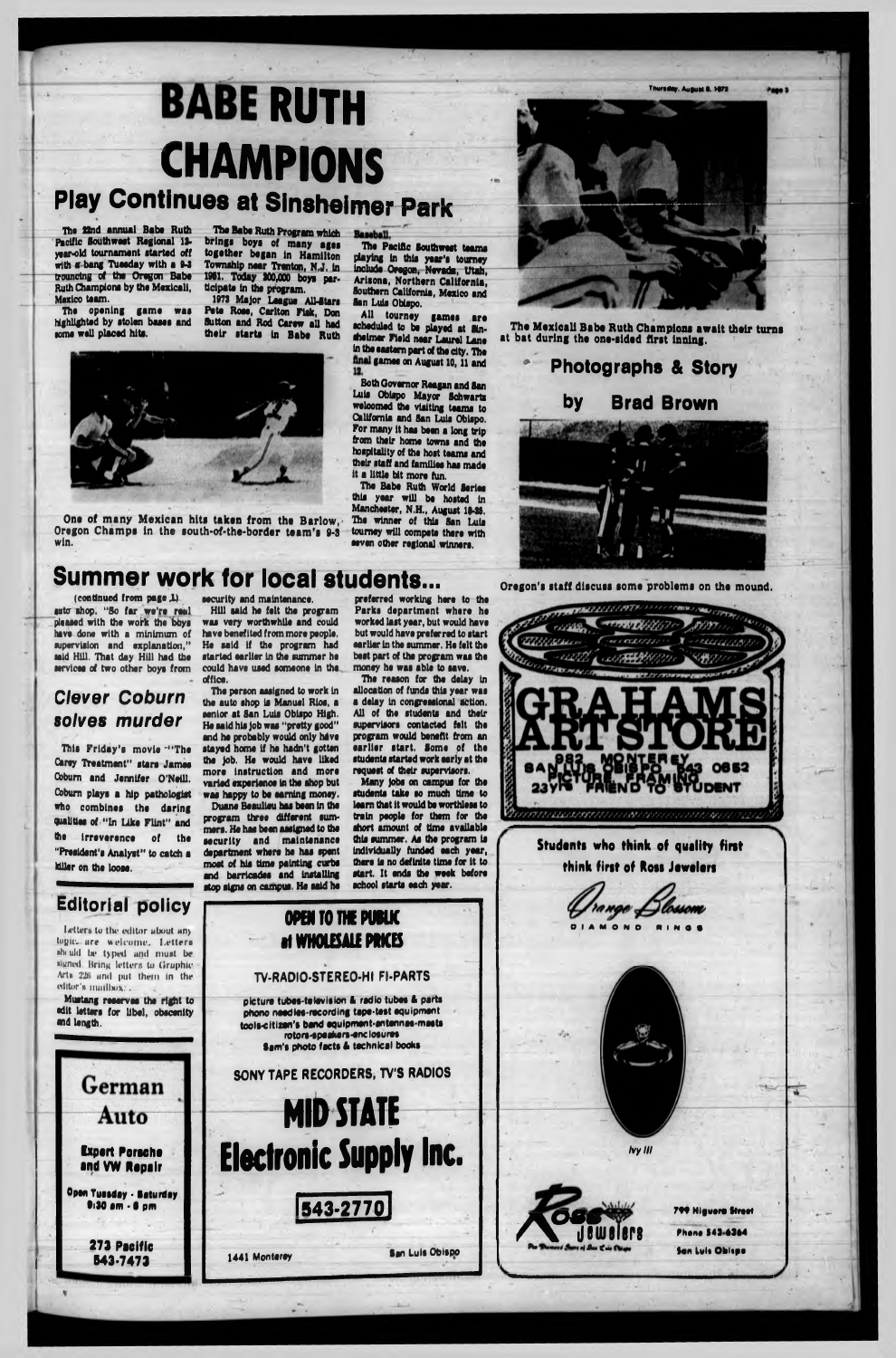# **BABE RUTH** CHAMPIONS

# **Play Continues at Sinsheimer Park**



The 22nd annual Baba Ruth Pacific Southwest Regional 13 ytar-old tournament started off with a bang Tuesday with a 9-3 trouncing of the Oregon Babe Ruth Champions by the Mexicali, Mexico team.

The opening game was highlighted by stolen bases and

some well placed hits.

The Babe Ruth Program which brings boys of many ages together began In Hamilton Township near Trenton, N.J. In 1961. Today 300,000 boys participate In the program.

> All tourney games are scheduled to be played at Sin-Aelmer Field near Laurel Lane In the eastern part of the dty. The final games on August 10, 11 and 12.

1973 Major League All-Stars Pete Rose, Carlton Fisk, Don Aitton and Rod Carew all had their starts In Babe Ruth



The Babe Ruth World Series this year will be hosted in Manchester, N.H., August 19-20. The winner of this San Luis tourney will compete there with seven other regional winners.

Ona of many Mexican hits taken from the Barlow, Oregon Champs in the south-of-the-border team's 9-3 win.

The Pacific Southwest teams playing In this year's tourney Include Oregon, Nevada, Utah, Arisona, Northern California, Southern California, Mexico end San Luis Obispo.

(continued from page,l) auto shop. "So far we're real pleased with the work the bbys have done with a minimum of supervision and explanation," said Hill. That day Hill had the services of two other boys from

This Friday's movie \*\*\* The Carey Treatment" stars James Cobum and Jennifer O'Neill. Cobum plays a hip pathologist who combines the daring qualities of "In Like Flint" and the irreverence of the "President's Analyst" to catch a killer on the loose.

security and maintenance.

The person assigned to work in

Both Governor Reagan and San Luis Obispo Mayor Schwarts welcomed the visiting teams to California and San Luis Obispo. For many it has been a long trip from their home towns and the hospitality of the host teams and their staff and families has made It a little bit more fun.

The Mexicali Babe Ruth Champions await their turns at bat during the one-sided first Inning.

# **\* Photographs & Story by Brad Brown**

# **Summer work for local students...** Oregon's staff discuss some problems on the mound.

### *Clever Coburn solves murder*



Duane Beaulieu has been In the program three different summers. He has been assigned to the security and maintenance department where he has spent most of his time painting curbs and barricades and installing preferred working here to the

The reason for the delay In